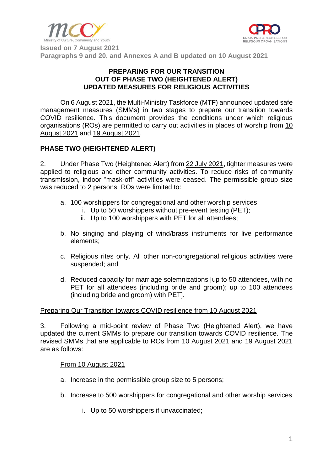



**Issued on 7 August 2021 Paragraphs 9 and 20, and Annexes A and B updated on 10 August 2021**

#### **PREPARING FOR OUR TRANSITION OUT OF PHASE TWO (HEIGHTENED ALERT) UPDATED MEASURES FOR RELIGIOUS ACTIVITIES**

On 6 August 2021, the Multi-Ministry Taskforce (MTF) announced updated safe management measures (SMMs) in two stages to prepare our transition towards COVID resilience. This document provides the conditions under which religious organisations (ROs) are permitted to carry out activities in places of worship from 10 August 2021 and 19 August 2021.

### **PHASE TWO (HEIGHTENED ALERT)**

2. Under Phase Two (Heightened Alert) from 22 July 2021, tighter measures were applied to religious and other community activities. To reduce risks of community transmission, indoor "mask-off" activities were ceased. The permissible group size was reduced to 2 persons. ROs were limited to:

- a. 100 worshippers for congregational and other worship services
	- i. Up to 50 worshippers without pre-event testing (PET);
	- ii. Up to 100 worshippers with PET for all attendees;
- b. No singing and playing of wind/brass instruments for live performance elements;
- c. Religious rites only. All other non-congregational religious activities were suspended; and
- d. Reduced capacity for marriage solemnizations [up to 50 attendees, with no PET for all attendees (including bride and groom); up to 100 attendees (including bride and groom) with PET].

#### Preparing Our Transition towards COVID resilience from 10 August 2021

3. Following a mid-point review of Phase Two (Heightened Alert), we have updated the current SMMs to prepare our transition towards COVID resilience. The revised SMMs that are applicable to ROs from 10 August 2021 and 19 August 2021 are as follows:

#### From 10 August 2021

- a. Increase in the permissible group size to 5 persons;
- b. Increase to 500 worshippers for congregational and other worship services
	- i. Up to 50 worshippers if unvaccinated;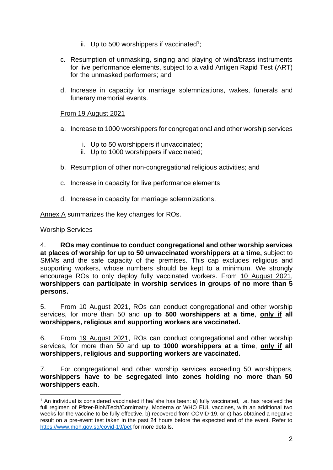- ii. Up to 500 worshippers if vaccinated<sup>1</sup>;
- c. Resumption of unmasking, singing and playing of wind/brass instruments for live performance elements, subject to a valid Antigen Rapid Test (ART) for the unmasked performers; and
- d. Increase in capacity for marriage solemnizations, wakes, funerals and funerary memorial events.

#### From 19 August 2021

- a. Increase to 1000 worshippers for congregational and other worship services
	- i. Up to 50 worshippers if unvaccinated;
	- ii. Up to 1000 worshippers if vaccinated;
- b. Resumption of other non-congregational religious activities; and
- c. Increase in capacity for live performance elements
- d. Increase in capacity for marriage solemnizations.

Annex A summarizes the key changes for ROs.

#### Worship Services

4. **ROs may continue to conduct congregational and other worship services at places of worship for up to 50 unvaccinated worshippers at a time,** subject to SMMs and the safe capacity of the premises. This cap excludes religious and supporting workers, whose numbers should be kept to a minimum. We strongly encourage ROs to only deploy fully vaccinated workers. From 10 August 2021, **worshippers can participate in worship services in groups of no more than 5 persons.**

5. From 10 August 2021, ROs can conduct congregational and other worship services, for more than 50 and **up to 500 worshippers at a time**, **only if all worshippers, religious and supporting workers are vaccinated.**

6. From 19 August 2021, ROs can conduct congregational and other worship services, for more than 50 and **up to 1000 worshippers at a time**, **only if all worshippers, religious and supporting workers are vaccinated.**

7. For congregational and other worship services exceeding 50 worshippers, **worshippers have to be segregated into zones holding no more than 50 worshippers each**.

<sup>1</sup> An individual is considered vaccinated if he/ she has been: a) fully vaccinated, i.e. has received the full regimen of Pfizer-BioNTech/Comirnatry, Moderna or WHO EUL vaccines, with an additional two weeks for the vaccine to be fully effective, b) recovered from COVID-19, or c) has obtained a negative result on a pre-event test taken in the past 24 hours before the expected end of the event. Refer to <https://www.moh.gov.sg/covid-19/pet> for more details.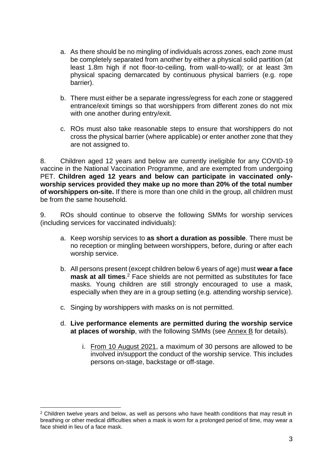- a. As there should be no mingling of individuals across zones, each zone must be completely separated from another by either a physical solid partition (at least 1.8m high if not floor-to-ceiling, from wall-to-wall); or at least 3m physical spacing demarcated by continuous physical barriers (e.g. rope barrier).
- b. There must either be a separate ingress/egress for each zone or staggered entrance/exit timings so that worshippers from different zones do not mix with one another during entry/exit.
- c. ROs must also take reasonable steps to ensure that worshippers do not cross the physical barrier (where applicable) or enter another zone that they are not assigned to.

8. Children aged 12 years and below are currently ineligible for any COVID-19 vaccine in the National Vaccination Programme, and are exempted from undergoing PET. **Children aged 12 years and below can participate in vaccinated onlyworship services provided they make up no more than 20% of the total number of worshippers on-site.** If there is more than one child in the group, all children must be from the same household.

9. ROs should continue to observe the following SMMs for worship services (including services for vaccinated individuals):

- a. Keep worship services to **as short a duration as possible**. There must be no reception or mingling between worshippers, before, during or after each worship service.
- b. All persons present (except children below 6 years of age) must **wear a face mask at all times**. <sup>2</sup> Face shields are not permitted as substitutes for face masks. Young children are still strongly encouraged to use a mask, especially when they are in a group setting (e.g. attending worship service).
- c. Singing by worshippers with masks on is not permitted.
- d. **Live performance elements are permitted during the worship service at places of worship**, with the following SMMs (see Annex B for details).
	- i. From 10 August 2021, a maximum of 30 persons are allowed to be involved in/support the conduct of the worship service. This includes persons on-stage, backstage or off-stage.

<sup>&</sup>lt;sup>2</sup> Children twelve years and below, as well as persons who have health conditions that mav result in breathing or other medical difficulties when a mask is worn for a prolonged period of time, may wear a face shield in lieu of a face mask.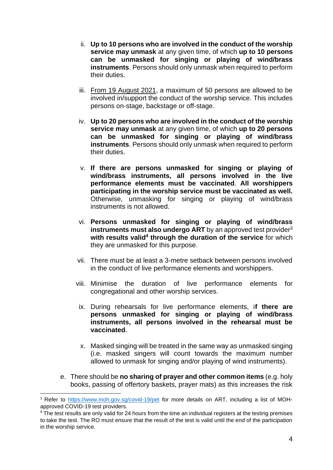- ii. **Up to 10 persons who are involved in the conduct of the worship service may unmask** at any given time, of which **up to 10 persons can be unmasked for singing or playing of wind/brass instruments**. Persons should only unmask when required to perform their duties.
- iii. From 19 August 2021, a maximum of 50 persons are allowed to be involved in/support the conduct of the worship service. This includes persons on-stage, backstage or off-stage.
- iv. **Up to 20 persons who are involved in the conduct of the worship service may unmask** at any given time, of which **up to 20 persons can be unmasked for singing or playing of wind/brass instruments**. Persons should only unmask when required to perform their duties.
- v. **If there are persons unmasked for singing or playing of wind/brass instruments, all persons involved in the live performance elements must be vaccinated**. **All worshippers participating in the worship service must be vaccinated as well.**  Otherwise, unmasking for singing or playing of wind/brass instruments is not allowed.
- vi. **Persons unmasked for singing or playing of wind/brass instruments must also undergo ART** by an approved test provider<sup>3</sup> with results valid<sup>4</sup> through the duration of the service for which they are unmasked for this purpose.
- vii. There must be at least a 3-metre setback between persons involved in the conduct of live performance elements and worshippers.
- viii. Minimise the duration of live performance elements for congregational and other worship services.
- ix. During rehearsals for live performance elements, i**f there are persons unmasked for singing or playing of wind/brass instruments, all persons involved in the rehearsal must be vaccinated**.
- x. Masked singing will be treated in the same way as unmasked singing (i.e. masked singers will count towards the maximum number allowed to unmask for singing and/or playing of wind instruments).
- e. There should be **no sharing of prayer and other common items** (e.g. holy books, passing of offertory baskets, prayer mats) as this increases the risk

<sup>&</sup>lt;sup>3</sup> Refer to <https://www.moh.gov.sg/covid-19/pet> for more details on ART, including a list of MOHapproved COVID-19 test providers.

<sup>&</sup>lt;sup>4</sup> The test results are only valid for 24 hours from the time an individual registers at the testing premises to take the test. The RO must ensure that the result of the test is valid until the end of the participation in the worship service.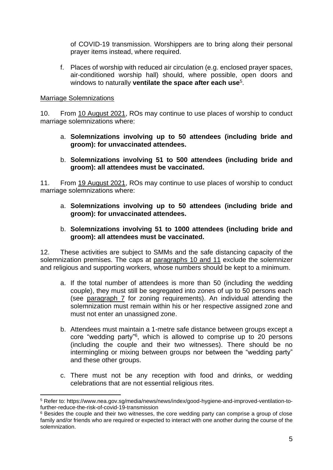of COVID-19 transmission. Worshippers are to bring along their personal prayer items instead, where required.

f. Places of worship with reduced air circulation (e.g. enclosed prayer spaces, air-conditioned worship hall) should, where possible, open doors and windows to naturally **ventilate the space after each use**<sup>5</sup> .

#### Marriage Solemnizations

10. From 10 August 2021, ROs may continue to use places of worship to conduct marriage solemnizations where:

- a. **Solemnizations involving up to 50 attendees (including bride and groom): for unvaccinated attendees.**
- b. **Solemnizations involving 51 to 500 attendees (including bride and groom): all attendees must be vaccinated.**

11. From 19 August 2021, ROs may continue to use places of worship to conduct marriage solemnizations where:

- a. **Solemnizations involving up to 50 attendees (including bride and groom): for unvaccinated attendees.**
- b. **Solemnizations involving 51 to 1000 attendees (including bride and groom): all attendees must be vaccinated.**

12. These activities are subject to SMMs and the safe distancing capacity of the solemnization premises. The caps at paragraphs 10 and 11 exclude the solemnizer and religious and supporting workers, whose numbers should be kept to a minimum.

- a. If the total number of attendees is more than 50 (including the wedding couple), they must still be segregated into zones of up to 50 persons each (see paragraph 7 for zoning requirements). An individual attending the solemnization must remain within his or her respective assigned zone and must not enter an unassigned zone.
- b. Attendees must maintain a 1-metre safe distance between groups except a core "wedding party"<sup>6</sup> , which is allowed to comprise up to 20 persons (including the couple and their two witnesses). There should be no intermingling or mixing between groups nor between the "wedding party" and these other groups.
- c. There must not be any reception with food and drinks, or wedding celebrations that are not essential religious rites.

<sup>5</sup> Refer to: https://www.nea.gov.sg/media/news/news/index/good-hygiene-and-improved-ventilation-tofurther-reduce-the-risk-of-covid-19-transmission

 $6$  Besides the couple and their two witnesses, the core wedding party can comprise a group of close family and/or friends who are required or expected to interact with one another during the course of the solemnization.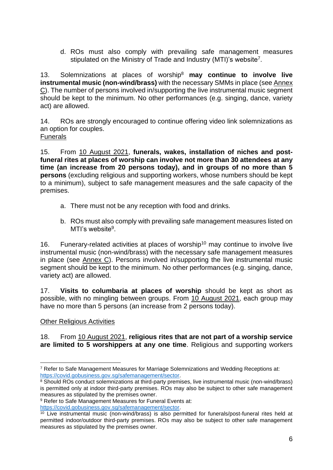d. ROs must also comply with prevailing safe management measures stipulated on the Ministry of Trade and Industry (MTI)'s website<sup>7</sup>.

13. Solemnizations at places of worship<sup>8</sup> **may continue to involve live instrumental music (non-wind/brass)** with the necessary SMMs in place (see Annex C). The number of persons involved in/supporting the live instrumental music segment should be kept to the minimum. No other performances (e.g. singing, dance, variety act) are allowed.

14. ROs are strongly encouraged to continue offering video link solemnizations as an option for couples. **Funerals** 

15. From 10 August 2021, **funerals, wakes, installation of niches and postfuneral rites at places of worship can involve not more than 30 attendees at any time (an increase from 20 persons today), and in groups of no more than 5 persons** (excluding religious and supporting workers, whose numbers should be kept to a minimum), subject to safe management measures and the safe capacity of the premises.

- a. There must not be any reception with food and drinks.
- b. ROs must also comply with prevailing safe management measures listed on MTI's website<sup>9</sup>.

16. Funerary-related activities at places of worship<sup>10</sup> may continue to involve live instrumental music (non-wind/brass) with the necessary safe management measures in place (see Annex C). Persons involved in/supporting the live instrumental music segment should be kept to the minimum. No other performances (e.g. singing, dance, variety act) are allowed.

17. **Visits to columbaria at places of worship** should be kept as short as possible, with no mingling between groups. From 10 August 2021, each group may have no more than 5 persons (an increase from 2 persons today).

### Other Religious Activities

#### 18. From 10 August 2021, **religious rites that are not part of a worship service are limited to 5 worshippers at any one time**. Religious and supporting workers

<sup>7</sup> Refer to Safe Management Measures for Marriage Solemnizations and Wedding Receptions at: [https://covid.gobusiness.gov.sg/safemanagement/sector.](https://covid.gobusiness.gov.sg/safemanagement/sector)

<sup>&</sup>lt;sup>8</sup> Should ROs conduct solemnizations at third-party premises, live instrumental music (non-wind/brass) is permitted only at indoor third-party premises. ROs may also be subject to other safe management measures as stipulated by the premises owner.

<sup>&</sup>lt;sup>9</sup> Refer to Safe Management Measures for Funeral Events at:

[https://covid.gobusiness.gov.sg/safemanagement/sector.](https://covid.gobusiness.gov.sg/safemanagement/sector)

<sup>10</sup> Live instrumental music (non-wind/brass) is also permitted for funerals/post-funeral rites held at permitted indoor/outdoor third-party premises. ROs may also be subject to other safe management measures as stipulated by the premises owner.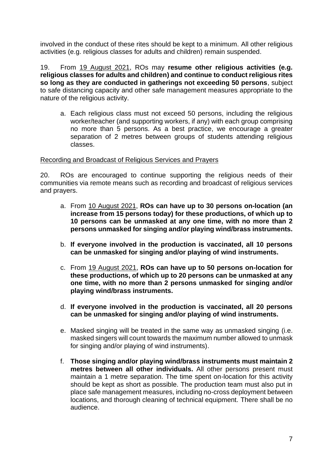involved in the conduct of these rites should be kept to a minimum. All other religious activities (e.g. religious classes for adults and children) remain suspended.

19. From 19 August 2021, ROs may **resume other religious activities (e.g. religious classes for adults and children) and continue to conduct religious rites so long as they are conducted in gatherings not exceeding 50 persons**, subject to safe distancing capacity and other safe management measures appropriate to the nature of the religious activity.

a. Each religious class must not exceed 50 persons, including the religious worker/teacher (and supporting workers, if any) with each group comprising no more than 5 persons. As a best practice, we encourage a greater separation of 2 metres between groups of students attending religious classes.

#### Recording and Broadcast of Religious Services and Prayers

20. ROs are encouraged to continue supporting the religious needs of their communities via remote means such as recording and broadcast of religious services and prayers.

- a. From 10 August 2021, **ROs can have up to 30 persons on-location (an increase from 15 persons today) for these productions, of which up to 10 persons can be unmasked at any one time, with no more than 2 persons unmasked for singing and/or playing wind/brass instruments.**
- b. **If everyone involved in the production is vaccinated, all 10 persons can be unmasked for singing and/or playing of wind instruments.**
- c. From 19 August 2021, **ROs can have up to 50 persons on-location for these productions, of which up to 20 persons can be unmasked at any one time, with no more than 2 persons unmasked for singing and/or playing wind/brass instruments.**
- d. **If everyone involved in the production is vaccinated, all 20 persons can be unmasked for singing and/or playing of wind instruments.**
- e. Masked singing will be treated in the same way as unmasked singing (i.e. masked singers will count towards the maximum number allowed to unmask for singing and/or playing of wind instruments).
- f. **Those singing and/or playing wind/brass instruments must maintain 2 metres between all other individuals.** All other persons present must maintain a 1 metre separation. The time spent on-location for this activity should be kept as short as possible. The production team must also put in place safe management measures, including no-cross deployment between locations, and thorough cleaning of technical equipment. There shall be no audience.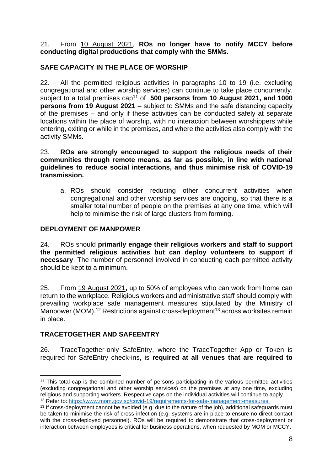21. From 10 August 2021, **ROs no longer have to notify MCCY before conducting digital productions that comply with the SMMs.** 

## **SAFE CAPACITY IN THE PLACE OF WORSHIP**

22. All the permitted religious activities in paragraphs 10 to 19 (i.e. excluding congregational and other worship services) can continue to take place concurrently, subject to a total premises cap<sup>11</sup> of **500 persons from 10 August 2021, and 1000 persons from 19 August 2021** – subject to SMMs and the safe distancing capacity of the premises – and only if these activities can be conducted safely at separate locations within the place of worship, with no interaction between worshippers while entering, exiting or while in the premises, and where the activities also comply with the activity SMMs.

23. **ROs are strongly encouraged to support the religious needs of their communities through remote means, as far as possible, in line with national guidelines to reduce social interactions, and thus minimise risk of COVID-19 transmission.**

a. ROs should consider reducing other concurrent activities when congregational and other worship services are ongoing, so that there is a smaller total number of people on the premises at any one time, which will help to minimise the risk of large clusters from forming.

#### **DEPLOYMENT OF MANPOWER**

24. ROs should **primarily engage their religious workers and staff to support the permitted religious activities but can deploy volunteers to support if necessary**. The number of personnel involved in conducting each permitted activity should be kept to a minimum.

25. From 19 August 2021**,** up to 50% of employees who can work from home can return to the workplace. Religious workers and administrative staff should comply with prevailing workplace safe management measures stipulated by the Ministry of Manpower (MOM).<sup>12</sup> Restrictions against cross-deployment<sup>13</sup> across worksites remain in place.

### **TRACETOGETHER AND SAFEENTRY**

26. TraceTogether-only SafeEntry, where the TraceTogether App or Token is required for SafeEntry check-ins, is **required at all venues that are required to** 

<sup>&</sup>lt;sup>11</sup> This total cap is the combined number of persons participating in the various permitted activities (excluding congregational and other worship services) on the premises at any one time, excluding religious and supporting workers. Respective caps on the individual activities will continue to apply.

<sup>12</sup> Refer to: [https://www.mom.gov.sg/covid-19/requirements-for-safe-management-measures.](https://www.mom.gov.sg/covid-19/requirements-for-safe-management-measures)

<sup>&</sup>lt;sup>13</sup> If cross-deployment cannot be avoided (e.g. due to the nature of the job), additional safeguards must be taken to minimise the risk of cross-infection (e.g. systems are in place to ensure no direct contact with the cross-deployed personnel). ROs will be required to demonstrate that cross-deployment or interaction between employees is critical for business operations, when requested by MOM or MCCY.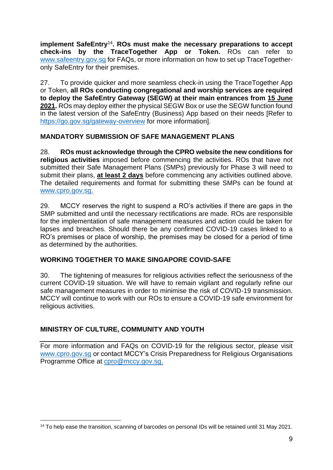**implement SafeEntry**<sup>14</sup> **. ROs must make the necessary preparations to accept check-ins by the TraceTogether App or Token.** ROs can refer to [www.safeentry.gov.sg](http://www.safeentry.gov.sg/) for FAQs, or more information on how to set up TraceTogetheronly SafeEntry for their premises.

27. To provide quicker and more seamless check-in using the TraceTogether App or Token, **all ROs conducting congregational and worship services are required to deploy the SafeEntry Gateway (SEGW) at their main entrances from 15 June 2021.** ROs may deploy either the physical SEGW Box or use the SEGW function found in the latest version of the SafeEntry (Business) App based on their needs [Refer to <https://go.gov.sg/gateway-overview> for more information].

### **MANDATORY SUBMISSION OF SAFE MANAGEMENT PLANS**

28. **ROs must acknowledge through the CPRO website the new conditions for religious activities** imposed before commencing the activities. ROs that have not submitted their Safe Management Plans (SMPs) previously for Phase 3 will need to submit their plans, **at least 2 days** before commencing any activities outlined above. The detailed requirements and format for submitting these SMPs can be found at [www.cpro.gov.sg.](http://www.cpro.gov.sg/)

29. MCCY reserves the right to suspend a RO's activities if there are gaps in the SMP submitted and until the necessary rectifications are made. ROs are responsible for the implementation of safe management measures and action could be taken for lapses and breaches. Should there be any confirmed COVID-19 cases linked to a RO's premises or place of worship, the premises may be closed for a period of time as determined by the authorities.

### **WORKING TOGETHER TO MAKE SINGAPORE COVID-SAFE**

30. The tightening of measures for religious activities reflect the seriousness of the current COVID-19 situation. We will have to remain vigilant and regularly refine our safe management measures in order to minimise the risk of COVID-19 transmission. MCCY will continue to work with our ROs to ensure a COVID-19 safe environment for religious activities.

## **MINISTRY OF CULTURE, COMMUNITY AND YOUTH**

For more information and FAQs on COVID-19 for the religious sector, please visit [www.cpro.gov.sg](http://www.cpro.gov.sg/) or contact MCCY's Crisis Preparedness for Religious Organisations Programme Office at [cpro@mccy.gov.sg.](mailto:cpro@mccy.gov.sg)

<sup>14</sup> To help ease the transition, scanning of barcodes on personal IDs will be retained until 31 May 2021.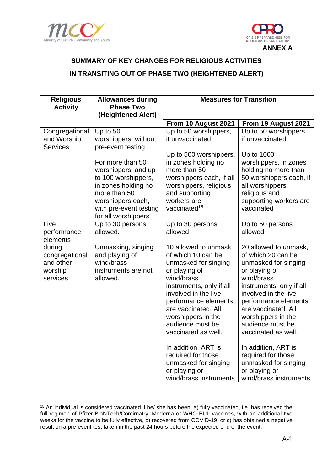



# **SUMMARY OF KEY CHANGES FOR RELIGIOUS ACTIVITIES IN TRANSITING OUT OF PHASE TWO (HEIGHTENED ALERT)**

| <b>Religious</b><br><b>Activity</b>                          | <b>Allowances during</b><br><b>Phase Two</b>                                                                                                                                | <b>Measures for Transition</b>                                                                                                                                                                                                                                         |                                                                                                                                                                                                                                                                        |  |
|--------------------------------------------------------------|-----------------------------------------------------------------------------------------------------------------------------------------------------------------------------|------------------------------------------------------------------------------------------------------------------------------------------------------------------------------------------------------------------------------------------------------------------------|------------------------------------------------------------------------------------------------------------------------------------------------------------------------------------------------------------------------------------------------------------------------|--|
|                                                              | (Heightened Alert)                                                                                                                                                          |                                                                                                                                                                                                                                                                        |                                                                                                                                                                                                                                                                        |  |
|                                                              |                                                                                                                                                                             | From 10 August 2021                                                                                                                                                                                                                                                    | From 19 August 2021                                                                                                                                                                                                                                                    |  |
| Congregational<br>and Worship<br><b>Services</b>             | Up to 50<br>worshippers, without<br>pre-event testing                                                                                                                       | Up to 50 worshippers,<br>if unvaccinated                                                                                                                                                                                                                               | Up to 50 worshippers,<br>if unvaccinated                                                                                                                                                                                                                               |  |
|                                                              | For more than 50<br>worshippers, and up<br>to 100 worshippers,<br>in zones holding no<br>more than 50<br>worshippers each,<br>with pre-event testing<br>for all worshippers | Up to 500 worshippers,<br>in zones holding no<br>more than 50<br>worshippers each, if all<br>worshippers, religious<br>and supporting<br>workers are<br>vaccinated <sup>15</sup>                                                                                       | Up to 1000<br>worshippers, in zones<br>holding no more than<br>50 worshippers each, if<br>all worshippers,<br>religious and<br>supporting workers are<br>vaccinated                                                                                                    |  |
| Live<br>performance<br>elements                              | Up to 30 persons<br>allowed.                                                                                                                                                | Up to 30 persons<br>allowed                                                                                                                                                                                                                                            | Up to 50 persons<br>allowed                                                                                                                                                                                                                                            |  |
| during<br>congregational<br>and other<br>worship<br>services | Unmasking, singing<br>and playing of<br>wind/brass<br>instruments are not<br>allowed.                                                                                       | 10 allowed to unmask,<br>of which 10 can be<br>unmasked for singing<br>or playing of<br>wind/brass<br>instruments, only if all<br>involved in the live<br>performance elements<br>are vaccinated. All<br>worshippers in the<br>audience must be<br>vaccinated as well. | 20 allowed to unmask,<br>of which 20 can be<br>unmasked for singing<br>or playing of<br>wind/brass<br>instruments, only if all<br>involved in the live<br>performance elements<br>are vaccinated. All<br>worshippers in the<br>audience must be<br>vaccinated as well. |  |
|                                                              |                                                                                                                                                                             | In addition, ART is<br>required for those<br>unmasked for singing<br>or playing or<br>wind/brass instruments                                                                                                                                                           | In addition, ART is<br>required for those<br>unmasked for singing<br>or playing or<br>wind/brass instruments                                                                                                                                                           |  |

<sup>15</sup> An individual is considered vaccinated if he/ she has been: a) fully vaccinated, i.e. has received the full regimen of Pfizer-BioNTech/Comirnatry, Moderna or WHO EUL vaccines, with an additional two weeks for the vaccine to be fully effective, b) recovered from COVID-19, or c) has obtained a negative result on a pre-event test taken in the past 24 hours before the expected end of the event.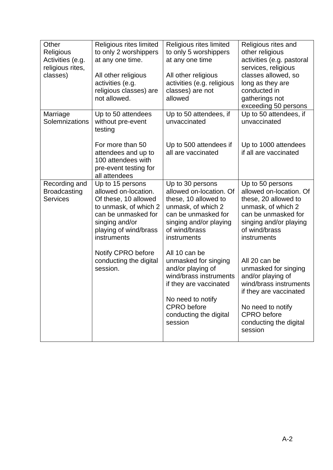| Other<br>Religious<br>Activities (e.g.<br>religious rites,<br>classes) | Religious rites limited<br>to only 2 worshippers<br>at any one time.<br>All other religious<br>activities (e.g.<br>religious classes) are<br>not allowed.                  | Religious rites limited<br>to only 5 worshippers<br>at any one time<br>All other religious<br>activities (e.g. religious<br>classes) are not<br>allowed                                        | Religious rites and<br>other religious<br>activities (e.g. pastoral<br>services, religious<br>classes allowed, so<br>long as they are<br>conducted in<br>gatherings not<br>exceeding 50 persons |
|------------------------------------------------------------------------|----------------------------------------------------------------------------------------------------------------------------------------------------------------------------|------------------------------------------------------------------------------------------------------------------------------------------------------------------------------------------------|-------------------------------------------------------------------------------------------------------------------------------------------------------------------------------------------------|
| Marriage<br>Solemnizations                                             | Up to 50 attendees<br>without pre-event<br>testing<br>For more than 50                                                                                                     | Up to 50 attendees, if<br>unvaccinated<br>Up to 500 attendees if                                                                                                                               | Up to 50 attendees, if<br>unvaccinated<br>Up to 1000 attendees                                                                                                                                  |
|                                                                        | attendees and up to<br>100 attendees with<br>pre-event testing for<br>all attendees                                                                                        | all are vaccinated                                                                                                                                                                             | if all are vaccinated                                                                                                                                                                           |
| Recording and<br><b>Broadcasting</b><br><b>Services</b>                | Up to 15 persons<br>allowed on-location.<br>Of these, 10 allowed<br>to unmask, of which 2<br>can be unmasked for<br>singing and/or<br>playing of wind/brass<br>instruments | Up to 30 persons<br>allowed on-location. Of<br>these, 10 allowed to<br>unmask, of which 2<br>can be unmasked for<br>singing and/or playing<br>of wind/brass<br>instruments                     | Up to 50 persons<br>allowed on-location. Of<br>these, 20 allowed to<br>unmask, of which 2<br>can be unmasked for<br>singing and/or playing<br>of wind/brass<br>instruments                      |
|                                                                        | Notify CPRO before<br>conducting the digital<br>session.                                                                                                                   | All 10 can be<br>unmasked for singing<br>and/or playing of<br>wind/brass instruments<br>if they are vaccinated<br>No need to notify<br><b>CPRO</b> before<br>conducting the digital<br>session | All 20 can be<br>unmasked for singing<br>and/or playing of<br>wind/brass instruments<br>if they are vaccinated<br>No need to notify<br><b>CPRO</b> before<br>conducting the digital<br>session  |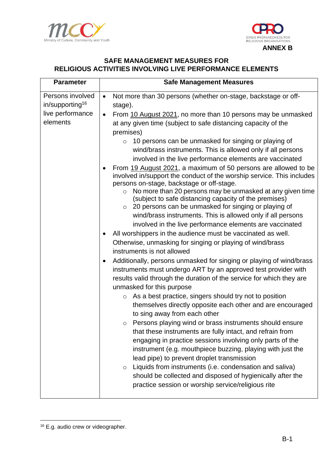



## **SAFE MANAGEMENT MEASURES FOR RELIGIOUS ACTIVITIES INVOLVING LIVE PERFORMANCE ELEMENTS**

| <b>Parameter</b>                                | <b>Safe Management Measures</b>                                                                                                                                                                                                                                                                                                                                                                                                                                                                                                                                                                                                                                                                                                                                                                                                                                                                                                                                                                            |  |  |
|-------------------------------------------------|------------------------------------------------------------------------------------------------------------------------------------------------------------------------------------------------------------------------------------------------------------------------------------------------------------------------------------------------------------------------------------------------------------------------------------------------------------------------------------------------------------------------------------------------------------------------------------------------------------------------------------------------------------------------------------------------------------------------------------------------------------------------------------------------------------------------------------------------------------------------------------------------------------------------------------------------------------------------------------------------------------|--|--|
| Persons involved<br>in/supporting <sup>16</sup> | Not more than 30 persons (whether on-stage, backstage or off-<br>$\bullet$<br>stage).                                                                                                                                                                                                                                                                                                                                                                                                                                                                                                                                                                                                                                                                                                                                                                                                                                                                                                                      |  |  |
| live performance<br>elements                    | From 10 August 2021, no more than 10 persons may be unmasked<br>$\bullet$<br>at any given time (subject to safe distancing capacity of the<br>premises)<br>10 persons can be unmasked for singing or playing of<br>$\circ$<br>wind/brass instruments. This is allowed only if all persons<br>involved in the live performance elements are vaccinated<br>From 19 August 2021, a maximum of 50 persons are allowed to be<br>involved in/support the conduct of the worship service. This includes<br>persons on-stage, backstage or off-stage.<br>No more than 20 persons may be unmasked at any given time<br>$\circ$<br>(subject to safe distancing capacity of the premises)<br>20 persons can be unmasked for singing or playing of<br>$\circ$<br>wind/brass instruments. This is allowed only if all persons<br>involved in the live performance elements are vaccinated<br>All worshippers in the audience must be vaccinated as well.<br>٠                                                           |  |  |
|                                                 | Otherwise, unmasking for singing or playing of wind/brass<br>instruments is not allowed<br>Additionally, persons unmasked for singing or playing of wind/brass<br>٠<br>instruments must undergo ART by an approved test provider with<br>results valid through the duration of the service for which they are<br>unmasked for this purpose<br>As a best practice, singers should try not to position<br>$\circ$<br>themselves directly opposite each other and are encouraged<br>to sing away from each other<br>o Persons playing wind or brass instruments should ensure<br>that these instruments are fully intact, and refrain from<br>engaging in practice sessions involving only parts of the<br>instrument (e.g. mouthpiece buzzing, playing with just the<br>lead pipe) to prevent droplet transmission<br>Liquids from instruments (i.e. condensation and saliva)<br>$\circ$<br>should be collected and disposed of hygienically after the<br>practice session or worship service/religious rite |  |  |

<sup>&</sup>lt;sup>16</sup> E.g. audio crew or videographer.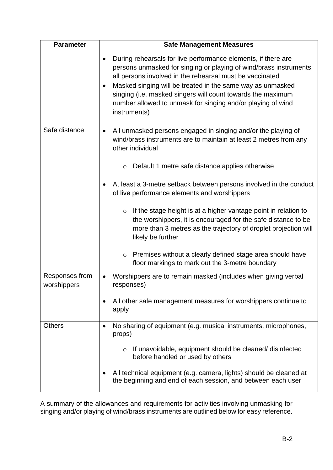| <b>Parameter</b>              | <b>Safe Management Measures</b>                                                                                                                                                                                                                                                                                                                                                                                               |  |  |
|-------------------------------|-------------------------------------------------------------------------------------------------------------------------------------------------------------------------------------------------------------------------------------------------------------------------------------------------------------------------------------------------------------------------------------------------------------------------------|--|--|
|                               | During rehearsals for live performance elements, if there are<br>$\bullet$<br>persons unmasked for singing or playing of wind/brass instruments,<br>all persons involved in the rehearsal must be vaccinated<br>Masked singing will be treated in the same way as unmasked<br>٠<br>singing (i.e. masked singers will count towards the maximum<br>number allowed to unmask for singing and/or playing of wind<br>instruments) |  |  |
| Safe distance                 | All unmasked persons engaged in singing and/or the playing of<br>$\bullet$<br>wind/brass instruments are to maintain at least 2 metres from any<br>other individual<br>Default 1 metre safe distance applies otherwise<br>$\circ$                                                                                                                                                                                             |  |  |
|                               | At least a 3-metre setback between persons involved in the conduct<br>٠<br>of live performance elements and worshippers                                                                                                                                                                                                                                                                                                       |  |  |
|                               | If the stage height is at a higher vantage point in relation to<br>$\circ$<br>the worshippers, it is encouraged for the safe distance to be<br>more than 3 metres as the trajectory of droplet projection will<br>likely be further                                                                                                                                                                                           |  |  |
|                               | Premises without a clearly defined stage area should have<br>$\circ$<br>floor markings to mark out the 3-metre boundary                                                                                                                                                                                                                                                                                                       |  |  |
| Responses from<br>worshippers | Worshippers are to remain masked (includes when giving verbal<br>responses)                                                                                                                                                                                                                                                                                                                                                   |  |  |
|                               | All other safe management measures for worshippers continue to<br>apply                                                                                                                                                                                                                                                                                                                                                       |  |  |
| <b>Others</b>                 | No sharing of equipment (e.g. musical instruments, microphones,<br>٠<br>props)                                                                                                                                                                                                                                                                                                                                                |  |  |
|                               | If unavoidable, equipment should be cleaned/ disinfected<br>$\circ$<br>before handled or used by others                                                                                                                                                                                                                                                                                                                       |  |  |
|                               | All technical equipment (e.g. camera, lights) should be cleaned at<br>the beginning and end of each session, and between each user                                                                                                                                                                                                                                                                                            |  |  |

A summary of the allowances and requirements for activities involving unmasking for singing and/or playing of wind/brass instruments are outlined below for easy reference.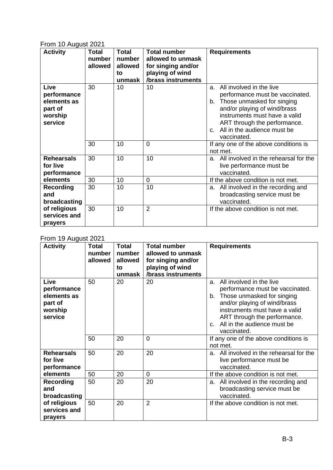### From 10 August 2021

| <b>Activity</b>                                                     | Total<br>number<br>allowed | <b>Total</b><br>number<br>allowed<br>to<br>unmask | <b>Total number</b><br>allowed to unmask<br>for singing and/or<br>playing of wind<br>/brass instruments | <b>Requirements</b>                                                                                                                                                                                                                                                 |
|---------------------------------------------------------------------|----------------------------|---------------------------------------------------|---------------------------------------------------------------------------------------------------------|---------------------------------------------------------------------------------------------------------------------------------------------------------------------------------------------------------------------------------------------------------------------|
| Live<br>performance<br>elements as<br>part of<br>worship<br>service | 30                         | 10                                                | 10                                                                                                      | All involved in the live<br>a.<br>performance must be vaccinated.<br>Those unmasked for singing<br>b.<br>and/or playing of wind/brass<br>instruments must have a valid<br>ART through the performance.<br>All in the audience must be<br>$C_{\cdot}$<br>vaccinated. |
|                                                                     | 30                         | 10                                                | 0                                                                                                       | If any one of the above conditions is<br>not met.                                                                                                                                                                                                                   |
| <b>Rehearsals</b><br>for live<br>performance                        | 30                         | 10                                                | 10                                                                                                      | All involved in the rehearsal for the<br>a.<br>live performance must be<br>vaccinated.                                                                                                                                                                              |
| elements                                                            | 30                         | 10                                                | $\mathbf 0$                                                                                             | If the above condition is not met.                                                                                                                                                                                                                                  |
| <b>Recording</b><br>and<br>broadcasting                             | 30                         | 10                                                | 10                                                                                                      | All involved in the recording and<br>a.<br>broadcasting service must be<br>vaccinated.                                                                                                                                                                              |
| of religious<br>services and<br>prayers                             | 30                         | 10                                                | $\overline{2}$                                                                                          | If the above condition is not met.                                                                                                                                                                                                                                  |

## From 19 August 2021

| <b>Activity</b>                                                     | <b>Total</b><br>number<br>allowed | <b>Total</b><br>number<br>allowed<br>to<br>unmask | <b>Total number</b><br>allowed to unmask<br>for singing and/or<br>playing of wind<br>/brass instruments | <b>Requirements</b>                                                                                                                                                                                                                                     |
|---------------------------------------------------------------------|-----------------------------------|---------------------------------------------------|---------------------------------------------------------------------------------------------------------|---------------------------------------------------------------------------------------------------------------------------------------------------------------------------------------------------------------------------------------------------------|
| Live<br>performance<br>elements as<br>part of<br>worship<br>service | 50                                | 20                                                | 20                                                                                                      | All involved in the live<br>a.<br>performance must be vaccinated.<br>Those unmasked for singing<br>b.<br>and/or playing of wind/brass<br>instruments must have a valid<br>ART through the performance.<br>c. All in the audience must be<br>vaccinated. |
|                                                                     | 50                                | 20                                                | $\overline{0}$                                                                                          | If any one of the above conditions is<br>not met.                                                                                                                                                                                                       |
| <b>Rehearsals</b><br>for live<br>performance                        | 50                                | 20                                                | 20                                                                                                      | All involved in the rehearsal for the<br>a.<br>live performance must be<br>vaccinated.                                                                                                                                                                  |
| elements                                                            | 50                                | 20                                                | $\mathbf 0$                                                                                             | If the above condition is not met.                                                                                                                                                                                                                      |
| <b>Recording</b><br>and<br>broadcasting                             | 50                                | 20                                                | 20                                                                                                      | All involved in the recording and<br>a.<br>broadcasting service must be<br>vaccinated.                                                                                                                                                                  |
| of religious<br>services and<br>prayers                             | 50                                | 20                                                | $\overline{2}$                                                                                          | If the above condition is not met.                                                                                                                                                                                                                      |